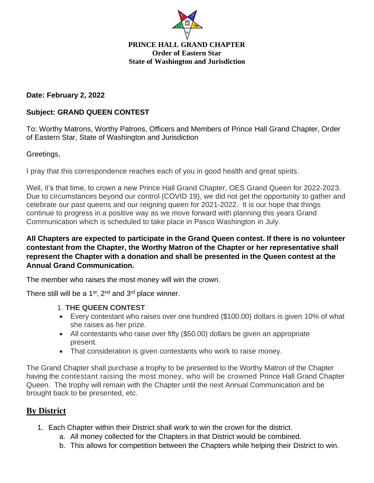

#### **PRINCE HALL GRAND CHAPTER Order of Eastern Star State of Washington and Jurisdiction**

## **Date: February 2, 2022**

## **Subject: GRAND QUEEN CONTEST**

To: Worthy Matrons, Worthy Patrons, Officers and Members of Prince Hall Grand Chapter, Order of Eastern Star, State of Washington and Jurisdiction

## Greetings,

I pray that this correspondence reaches each of you in good health and great spirits.

Well, it's that time, to crown a new Prince Hall Grand Chapter, OES Grand Queen for 2022-2023. Due to circumstances beyond our control (COVID 19), we did not get the opportunity to gather and celebrate our past queens and our reigning queen for 2021-2022. It is our hope that things continue to progress in a positive way as we move forward with planning this years Grand Communication which is scheduled to take place in Pasco Washington in July.

## **All Chapters are expected to participate in the Grand Queen contest. If there is no volunteer contestant from the Chapter, the Worthy Matron of the Chapter or her representative shall represent the Chapter with a donation and shall be presented in the Queen contest at the Annual Grand Communication.**

The member who raises the most money will win the crown.

There still will be a  $1^{st}$ ,  $2^{nd}$  and  $3^{rd}$  place winner.

#### 1. **THE QUEEN CONTEST**

- Every contestant who raises over one hundred (\$100.00) dollars is given 10% of what she raises as her prize.
- All contestants who raise over fifty (\$50.00) dollars be given an appropriate present.
- That consideration is given contestants who work to raise money.

The Grand Chapter shall purchase a trophy to be presented to the Worthy Matron of the Chapter having the contestant raising the most money, who will be crowned Prince Hall Grand Chapter Queen. The trophy will remain with the Chapter until the next Annual Communication and be brought back to be presented, etc.

## **By District**

- 1. Each Chapter within their District shall work to win the crown for the district.
	- a. All money collected for the Chapters in that District would be combined.
	- b. This allows for competition between the Chapters while helping their District to win.